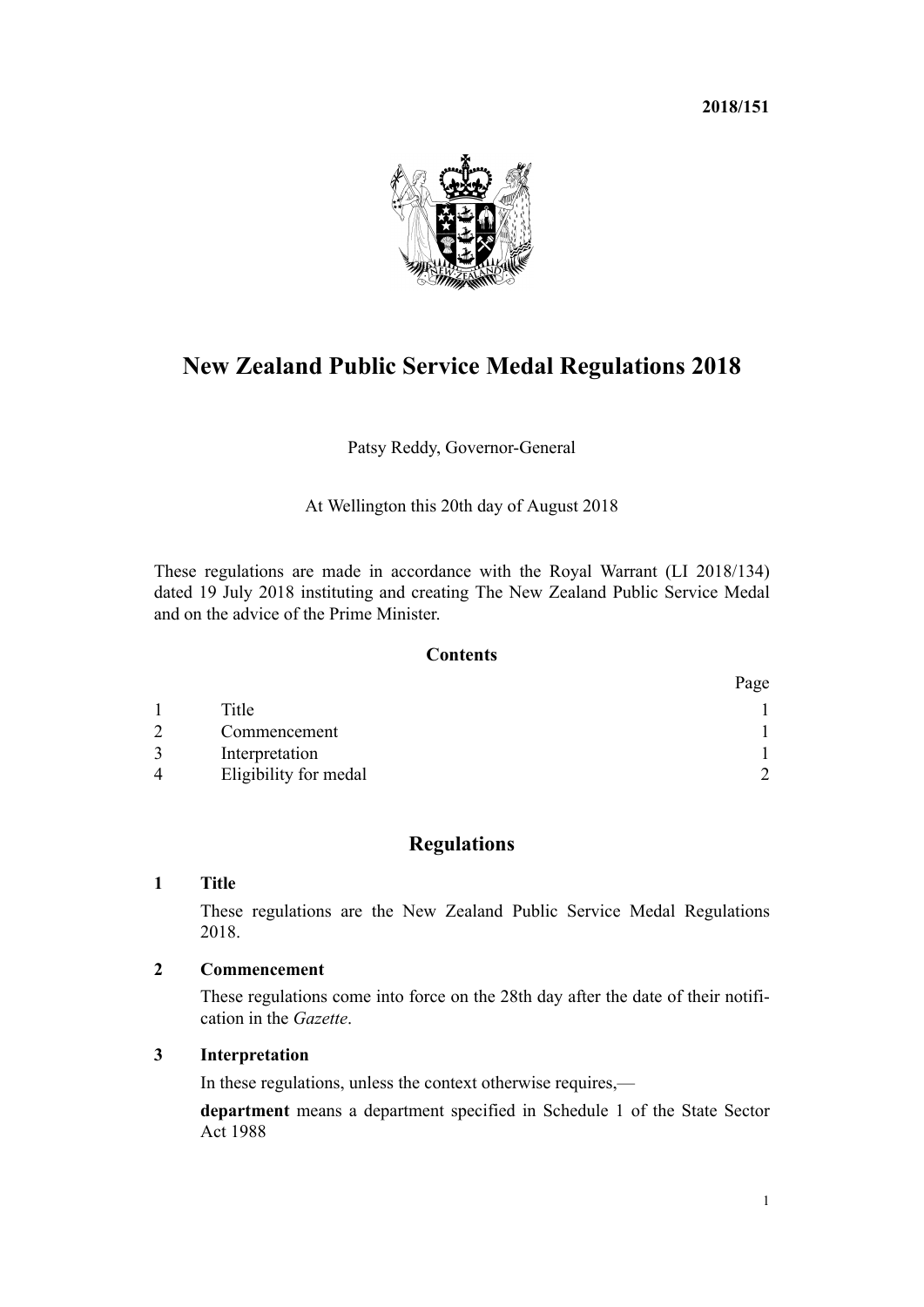**2018/151**



# **New Zealand Public Service Medal Regulations 2018**

Patsy Reddy, Governor-General

At Wellington this 20th day of August 2018

These regulations are made in accordance with the Royal Warrant (LI 2018/134) dated 19 July 2018 instituting and creating The New Zealand Public Service Medal and on the advice of the Prime Minister.

## **Contents**

|                |                       | Page |
|----------------|-----------------------|------|
|                | Title                 |      |
| $\mathcal{D}$  | Commencement          |      |
|                | Interpretation        |      |
| $\overline{4}$ | Eligibility for medal | ∍    |

## **Regulations**

### **1 Title**

These regulations are the New Zealand Public Service Medal Regulations 2018.

## **2 Commencement**

These regulations come into force on the 28th day after the date of their notification in the *Gazette*.

## **3 Interpretation**

In these regulations, unless the context otherwise requires,—

**department** means a department specified in [Schedule 1](http://prd-lgnz-nlb.prd.pco.net.nz/pdflink.aspx?id=DLM130706) of the State Sector Act 1988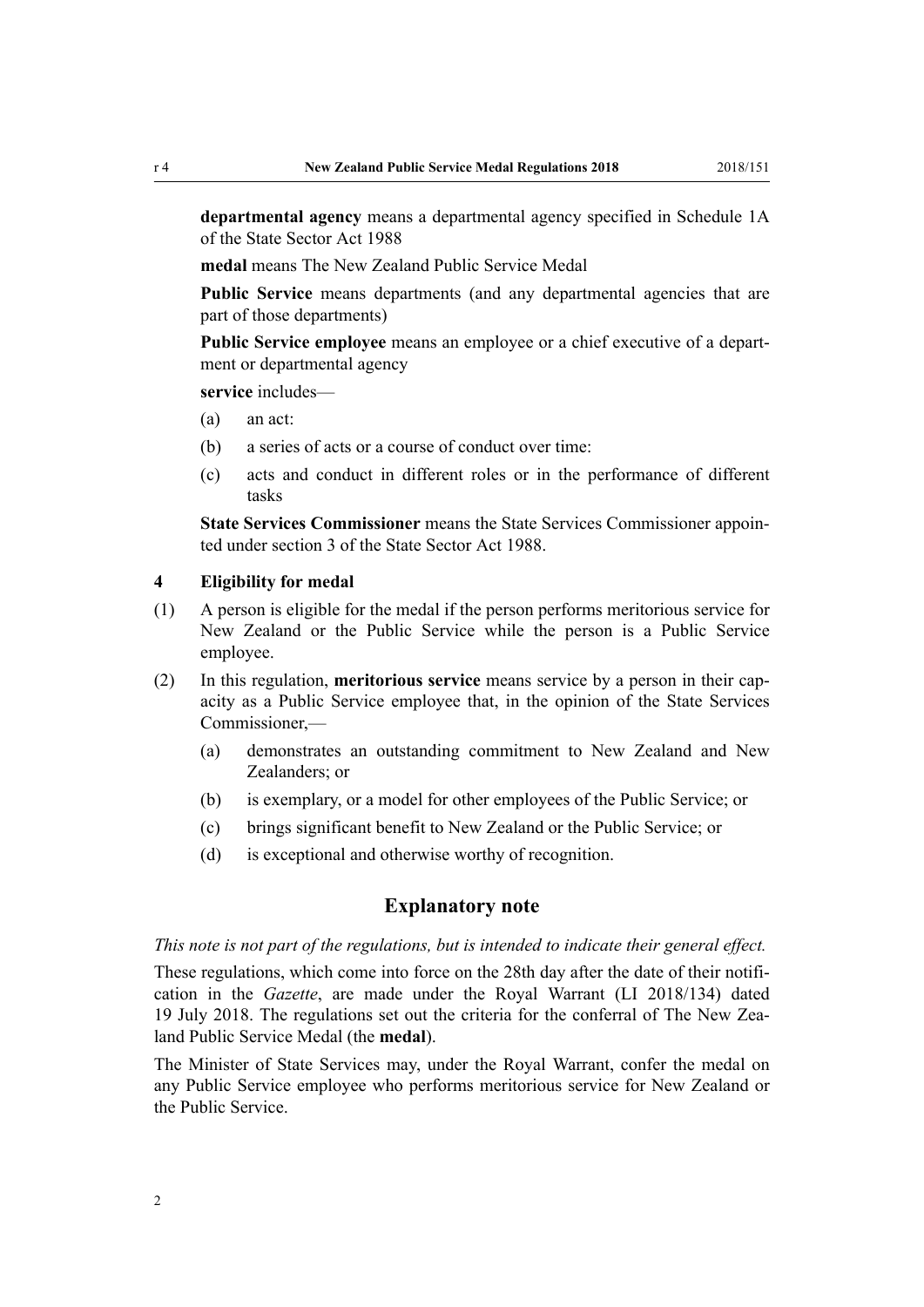<span id="page-1-0"></span>**departmental agency** means a departmental agency specified in [Schedule 1A](http://prd-lgnz-nlb.prd.pco.net.nz/pdflink.aspx?id=DLM6379002) of the State Sector Act 1988

**medal** means The New Zealand Public Service Medal

Public Service means departments (and any departmental agencies that are part of those departments)

**Public Service employee** means an employee or a chief executive of a department or departmental agency

**service** includes—

- (a) an act:
- (b) a series of acts or a course of conduct over time:
- (c) acts and conduct in different roles or in the performance of different tasks

**State Services Commissioner** means the State Services Commissioner appointed under [section 3](http://prd-lgnz-nlb.prd.pco.net.nz/pdflink.aspx?id=DLM129439) of the State Sector Act 1988.

#### **4 Eligibility for medal**

- (1) A person is eligible for the medal if the person performs meritorious service for New Zealand or the Public Service while the person is a Public Service employee.
- (2) In this regulation, **meritorious service** means service by a person in their capacity as a Public Service employee that, in the opinion of the State Services Commissioner,—
	- (a) demonstrates an outstanding commitment to New Zealand and New Zealanders; or
	- (b) is exemplary, or a model for other employees of the Public Service; or
	- (c) brings significant benefit to New Zealand or the Public Service; or
	- (d) is exceptional and otherwise worthy of recognition.

#### **Explanatory note**

#### *This note is not part of the regulations, but is intended to indicate their general effect.*

These regulations, which come into force on the 28th day after the date of their notification in the *Gazette*, are made under the Royal Warrant (LI 2018/134) dated 19 July 2018. The regulations set out the criteria for the conferral of The New Zealand Public Service Medal (the **medal**).

The Minister of State Services may, under the Royal Warrant, confer the medal on any Public Service employee who performs meritorious service for New Zealand or the Public Service.